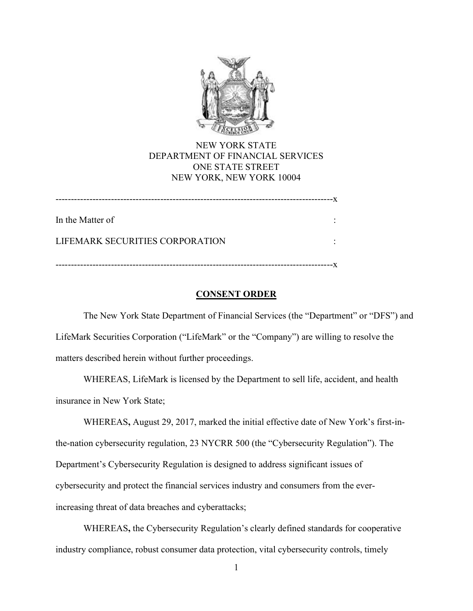

# NEW YORK STATE DEPARTMENT OF FINANCIAL SERVICES ONE STATE STREET NEW YORK, NEW YORK 10004

| In the Matter of                |  |
|---------------------------------|--|
| LIFEMARK SECURITIES CORPORATION |  |
| ----------------------          |  |

## CONSENT ORDER

 The New York State Department of Financial Services (the "Department" or "DFS") and LifeMark Securities Corporation ("LifeMark" or the "Company") are willing to resolve the matters described herein without further proceedings.

 WHEREAS, LifeMark is licensed by the Department to sell life, accident, and health insurance in New York State;

 WHEREAS, August 29, 2017, marked the initial effective date of New York's first-in- the-nation cybersecurity regulation, 23 NYCRR 500 (the "Cybersecurity Regulation"). The Department's Cybersecurity Regulation is designed to address significant issues of cybersecurity and protect the financial services industry and consumers from the ever-increasing threat of data breaches and cyberattacks;

 WHEREAS, the Cybersecurity Regulation's clearly defined standards for cooperative industry compliance, robust consumer data protection, vital cybersecurity controls, timely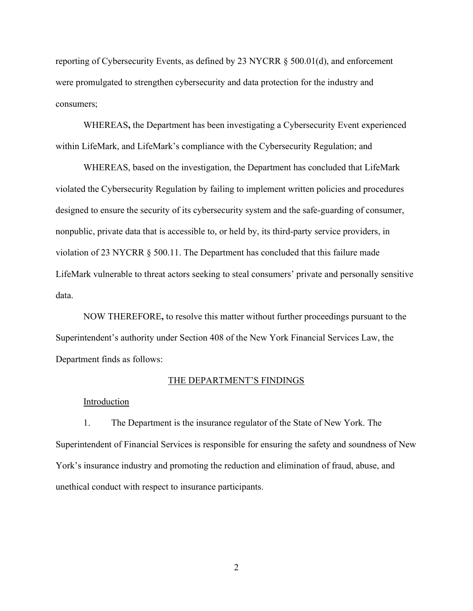reporting of Cybersecurity Events, as defined by 23 NYCRR § 500.01(d), and enforcement were promulgated to strengthen cybersecurity and data protection for the industry and consumers;

 WHEREAS, the Department has been investigating a Cybersecurity Event experienced within LifeMark, and LifeMark's compliance with the Cybersecurity Regulation; and

 WHEREAS, based on the investigation, the Department has concluded that LifeMark violated the Cybersecurity Regulation by failing to implement written policies and procedures designed to ensure the security of its cybersecurity system and the safe-guarding of consumer, nonpublic, private data that is accessible to, or held by, its third-party service providers, in violation of 23 NYCRR § 500.11. The Department has concluded that this failure made LifeMark vulnerable to threat actors seeking to steal consumers' private and personally sensitive data.

 NOW THEREFORE, to resolve this matter without further proceedings pursuant to the Superintendent's authority under Section 408 of the New York Financial Services Law, the Department finds as follows:

#### THE DEPARTMENT'S FINDINGS

#### Introduction

 1. The Department is the insurance regulator of the State of New York. The Superintendent of Financial Services is responsible for ensuring the safety and soundness of New York's insurance industry and promoting the reduction and elimination of fraud, abuse, and unethical conduct with respect to insurance participants.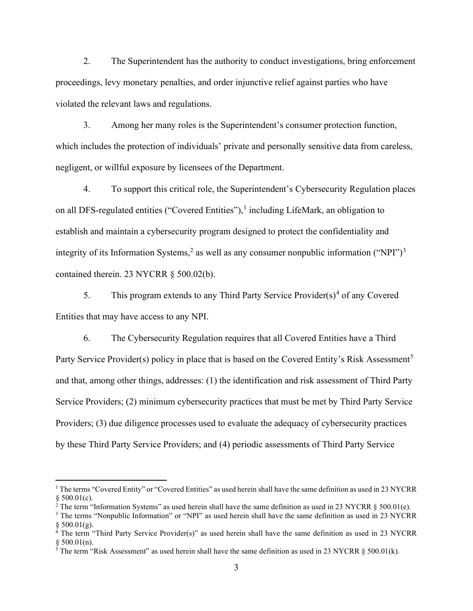2. The Superintendent has the authority to conduct investigations, bring enforcement proceedings, levy monetary penalties, and order injunctive relief against parties who have violated the relevant laws and regulations.

 3. Among her many roles is the Superintendent's consumer protection function, which includes the protection of individuals' private and personally sensitive data from careless, negligent, or willful exposure by licensees of the Department.

 4. To support this critical role, the Superintendent's Cybersecurity Regulation places on all DFS-regulated entities ("Covered Entities"),<sup>1</sup> including LifeMark, an obligation to establish and maintain a cybersecurity program designed to protect the confidentiality and integrity of its Information Systems,<sup>2</sup> as well as any consumer nonpublic information ("NPI")<sup>3</sup> contained therein. 23 NYCRR § 500.02(b).

5. This program extends to any Third Party Service Provider(s)<sup>4</sup> of any Covered Entities that may have access to any NPI.

 6. The Cybersecurity Regulation requires that all Covered Entities have a Third Party Service Provider(s) policy in place that is based on the Covered Entity's Risk Assessment<sup>5</sup> and that, among other things, addresses: (1) the identification and risk assessment of Third Party Service Providers; (2) minimum cybersecurity practices that must be met by Third Party Service Providers; (3) due diligence processes used to evaluate the adequacy of cybersecurity practices by these Third Party Service Providers; and (4) periodic assessments of Third Party Service

 $1$  The terms "Covered Entity" or "Covered Entities" as used herein shall have the same definition as used in 23 NYCRR  $§$  500.01(c).

<sup>&</sup>lt;sup>2</sup> The term "Information Systems" as used herein shall have the same definition as used in 23 NYCRR § 500.01(e).

<sup>&</sup>lt;sup>3</sup> The terms "Nonpublic Information" or "NPI" as used herein shall have the same definition as used in 23 NYCRR  $§$  500.01(g).

 <sup>4</sup> The term "Third Party Service Provider(s)" as used herein shall have the same definition as used in 23 NYCRR  $§ 500.01(n).$ 

<sup>&</sup>lt;sup>5</sup> The term "Risk Assessment" as used herein shall have the same definition as used in 23 NYCRR § 500.01(k).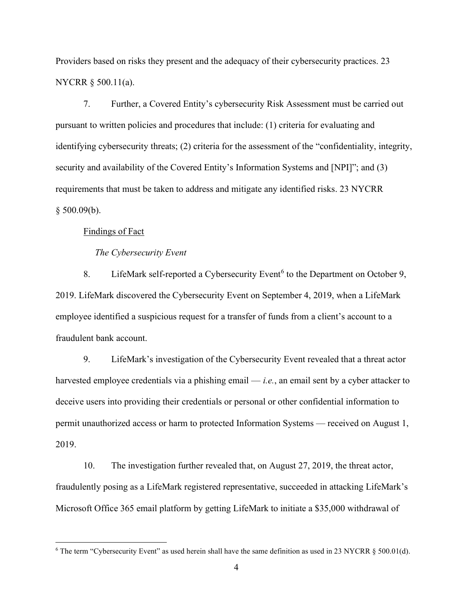Providers based on risks they present and the adequacy of their cybersecurity practices. 23 NYCRR § 500.11(a).

 7. Further, a Covered Entity's cybersecurity Risk Assessment must be carried out pursuant to written policies and procedures that include: (1) criteria for evaluating and identifying cybersecurity threats; (2) criteria for the assessment of the "confidentiality, integrity, security and availability of the Covered Entity's Information Systems and [NPI]"; and (3) requirements that must be taken to address and mitigate any identified risks. 23 NYCRR  $§$  500.09(b).

### Findings of Fact

#### The Cybersecurity Event

8. LifeMark self-reported a Cybersecurity Event<sup>6</sup> to the Department on October 9, 2019. LifeMark discovered the Cybersecurity Event on September 4, 2019, when a LifeMark employee identified a suspicious request for a transfer of funds from a client's account to a fraudulent bank account.

 9. LifeMark's investigation of the Cybersecurity Event revealed that a threat actor harvested employee credentials via a phishing email  $-i.e.,$  an email sent by a cyber attacker to deceive users into providing their credentials or personal or other confidential information to permit unauthorized access or harm to protected Information Systems — received on August 1, 2019.

 10. The investigation further revealed that, on August 27, 2019, the threat actor, fraudulently posing as a LifeMark registered representative, succeeded in attacking LifeMark's Microsoft Office 365 email platform by getting LifeMark to initiate a \$35,000 withdrawal of

<sup>&</sup>lt;sup>6</sup> The term "Cybersecurity Event" as used herein shall have the same definition as used in 23 NYCRR § 500.01(d).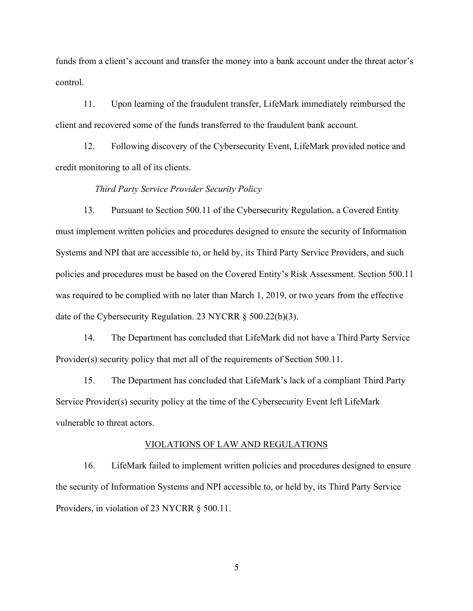funds from a client's account and transfer the money into a bank account under the threat actor's control.

 11. Upon learning of the fraudulent transfer, LifeMark immediately reimbursed the client and recovered some of the funds transferred to the fraudulent bank account.

 12. Following discovery of the Cybersecurity Event, LifeMark provided notice and credit monitoring to all of its clients.

### Third Party Service Provider Security Policy

 13. Pursuant to Section 500.11 of the Cybersecurity Regulation, a Covered Entity must implement written policies and procedures designed to ensure the security of Information Systems and NPI that are accessible to, or held by, its Third Party Service Providers, and such policies and procedures must be based on the Covered Entity's Risk Assessment. Section 500.11 was required to be complied with no later than March 1, 2019, or two years from the effective date of the Cybersecurity Regulation. 23 NYCRR § 500.22(b)(3).

 14. The Department has concluded that LifeMark did not have a Third Party Service Provider(s) security policy that met all of the requirements of Section 500.11.

 15. The Department has concluded that LifeMark's lack of a compliant Third Party Service Provider(s) security policy at the time of the Cybersecurity Event left LifeMark vulnerable to threat actors.

#### VIOLATIONS OF LAW AND REGULATIONS

 16. LifeMark failed to implement written policies and procedures designed to ensure the security of Information Systems and NPI accessible to, or held by, its Third Party Service Providers, in violation of 23 NYCRR § 500.11.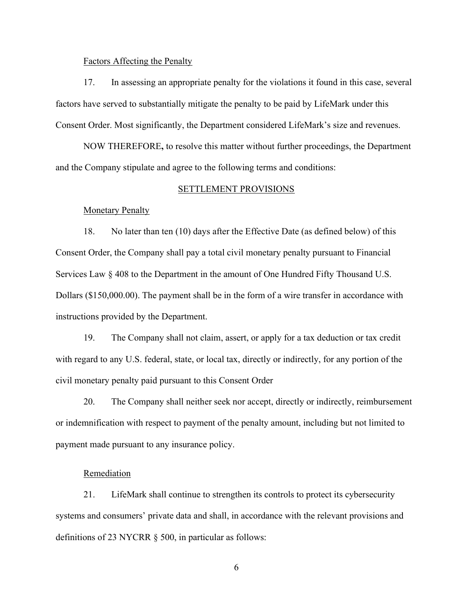### Factors Affecting the Penalty

 17. In assessing an appropriate penalty for the violations it found in this case, several factors have served to substantially mitigate the penalty to be paid by LifeMark under this Consent Order. Most significantly, the Department considered LifeMark's size and revenues.

 NOW THEREFORE, to resolve this matter without further proceedings, the Department and the Company stipulate and agree to the following terms and conditions:

#### SETTLEMENT PROVISIONS

### **Monetary Penalty**

 18. No later than ten (10) days after the Effective Date (as defined below) of this Consent Order, the Company shall pay a total civil monetary penalty pursuant to Financial Services Law § 408 to the Department in the amount of One Hundred Fifty Thousand U.S. Dollars ([\\$150,000.00](https://150,000.00)). The payment shall be in the form of a wire transfer in accordance with instructions provided by the Department.

 19. The Company shall not claim, assert, or apply for a tax deduction or tax credit with regard to any U.S. federal, state, or local tax, directly or indirectly, for any portion of the civil monetary penalty paid pursuant to this Consent Order

 20. The Company shall neither seek nor accept, directly or indirectly, reimbursement or indemnification with respect to payment of the penalty amount, including but not limited to payment made pursuant to any insurance policy.

### Remediation

 21. LifeMark shall continue to strengthen its controls to protect its cybersecurity systems and consumers' private data and shall, in accordance with the relevant provisions and definitions of 23 NYCRR § 500, in particular as follows: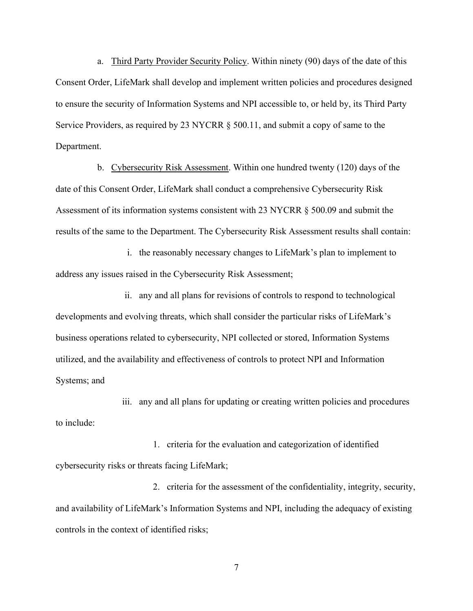a. Third Party Provider Security Policy. Within ninety (90) days of the date of this Consent Order, LifeMark shall develop and implement written policies and procedures designed to ensure the security of Information Systems and NPI accessible to, or held by, its Third Party Service Providers, as required by 23 NYCRR § 500.11, and submit a copy of same to the Department.

b. Cybersecurity Risk Assessment. Within one hundred twenty (120) days of the date of this Consent Order, LifeMark shall conduct a comprehensive Cybersecurity Risk Assessment of its information systems consistent with 23 NYCRR § 500.09 and submit the results of the same to the Department. The Cybersecurity Risk Assessment results shall contain:

 i. the reasonably necessary changes to LifeMark's plan to implement to address any issues raised in the Cybersecurity Risk Assessment;

 ii. any and all plans for revisions of controls to respond to technological developments and evolving threats, which shall consider the particular risks of LifeMark's business operations related to cybersecurity, NPI collected or stored, Information Systems utilized, and the availability and effectiveness of controls to protect NPI and Information Systems; and

 iii. any and all plans for updating or creating written policies and procedures to include:

 1. criteria for the evaluation and categorization of identified cybersecurity risks or threats facing LifeMark;

 2. criteria for the assessment of the confidentiality, integrity, security, and availability of LifeMark's Information Systems and NPI, including the adequacy of existing controls in the context of identified risks;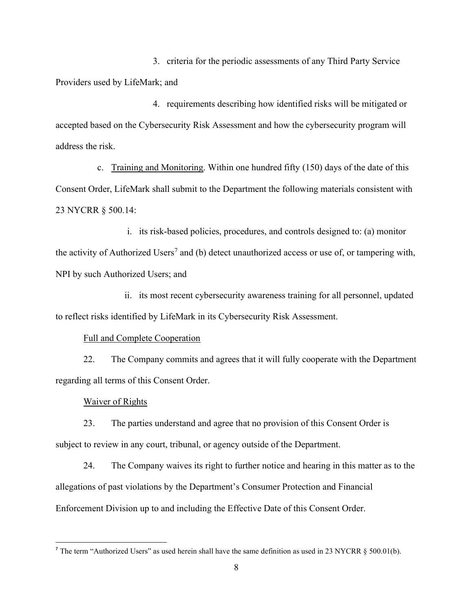3. criteria for the periodic assessments of any Third Party Service Providers used by LifeMark; and

 4. requirements describing how identified risks will be mitigated or accepted based on the Cybersecurity Risk Assessment and how the cybersecurity program will address the risk.

c. Training and Monitoring. Within one hundred fifty (150) days of the date of this Consent Order, LifeMark shall submit to the Department the following materials consistent with 23 NYCRR § 500.14:

 i. its risk-based policies, procedures, and controls designed to: (a) monitor the activity of Authorized Users<sup>7</sup> and (b) detect unauthorized access or use of, or tampering with, NPI by such Authorized Users; and

 ii. its most recent cybersecurity awareness training for all personnel, updated to reflect risks identified by LifeMark in its Cybersecurity Risk Assessment.

### Full and Complete Cooperation

 22. The Company commits and agrees that it will fully cooperate with the Department regarding all terms of this Consent Order.

### Waiver of Rights

 23. The parties understand and agree that no provision of this Consent Order is subject to review in any court, tribunal, or agency outside of the Department.

 24. The Company waives its right to further notice and hearing in this matter as to the allegations of past violations by the Department's Consumer Protection and Financial Enforcement Division up to and including the Effective Date of this Consent Order.

<sup>&</sup>lt;sup>7</sup> The term "Authorized Users" as used herein shall have the same definition as used in 23 NYCRR § 500.01(b).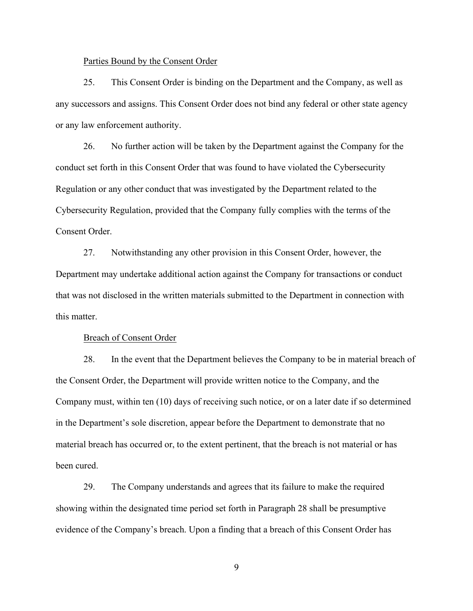#### Parties Bound by the Consent Order

 25. This Consent Order is binding on the Department and the Company, as well as any successors and assigns. This Consent Order does not bind any federal or other state agency or any law enforcement authority.

 26. No further action will be taken by the Department against the Company for the conduct set forth in this Consent Order that was found to have violated the Cybersecurity Regulation or any other conduct that was investigated by the Department related to the Cybersecurity Regulation, provided that the Company fully complies with the terms of the Consent Order.

 27. Notwithstanding any other provision in this Consent Order, however, the Department may undertake additional action against the Company for transactions or conduct that was not disclosed in the written materials submitted to the Department in connection with this matter.

#### Breach of Consent Order

 28. In the event that the Department believes the Company to be in material breach of the Consent Order, the Department will provide written notice to the Company, and the Company must, within ten (10) days of receiving such notice, or on a later date if so determined in the Department's sole discretion, appear before the Department to demonstrate that no material breach has occurred or, to the extent pertinent, that the breach is not material or has been cured.

 29. The Company understands and agrees that its failure to make the required showing within the designated time period set forth in Paragraph 28 shall be presumptive evidence of the Company's breach. Upon a finding that a breach of this Consent Order has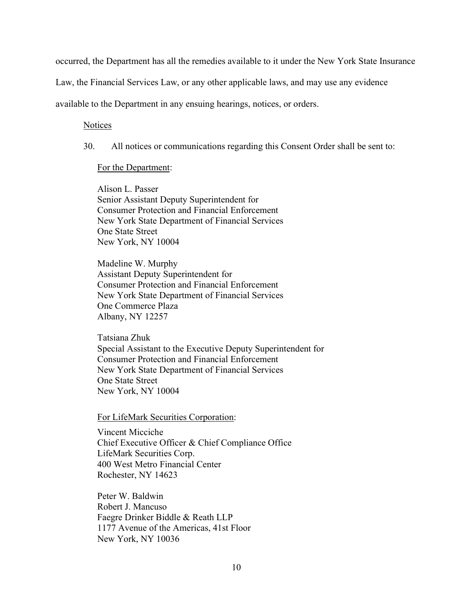occurred, the Department has all the remedies available to it under the New York State Insurance

Law, the Financial Services Law, or any other applicable laws, and may use any evidence

available to the Department in any ensuing hearings, notices, or orders.

### **Notices**

30. All notices or communications regarding this Consent Order shall be sent to:

### For the Department:

 Alison L. Passer Senior Assistant Deputy Superintendent for Consumer Protection and Financial Enforcement New York State Department of Financial Services One State Street New York, NY 10004

 Madeline W. Murphy Assistant Deputy Superintendent for Consumer Protection and Financial Enforcement New York State Department of Financial Services One Commerce Plaza Albany, NY 12257

 Tatsiana Zhuk Special Assistant to the Executive Deputy Superintendent for Consumer Protection and Financial Enforcement New York State Department of Financial Services One State Street New York, NY 10004

For LifeMark Securities Corporation:

 Vincent Micciche Chief Executive Officer & Chief Compliance Office LifeMark Securities Corp. 400 West Metro Financial Center Rochester, NY 14623

 Peter W. Baldwin Robert J. Mancuso Faegre Drinker Biddle & Reath LLP 1177 Avenue of the Americas, 41st Floor New York, NY 10036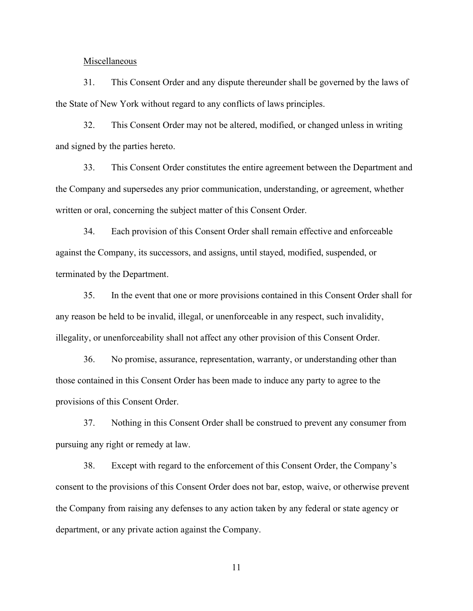#### **Miscellaneous**

 31. This Consent Order and any dispute thereunder shall be governed by the laws of the State of New York without regard to any conflicts of laws principles.

 32. This Consent Order may not be altered, modified, or changed unless in writing and signed by the parties hereto.

 33. This Consent Order constitutes the entire agreement between the Department and the Company and supersedes any prior communication, understanding, or agreement, whether written or oral, concerning the subject matter of this Consent Order.

 34. Each provision of this Consent Order shall remain effective and enforceable against the Company, its successors, and assigns, until stayed, modified, suspended, or terminated by the Department.

 35. In the event that one or more provisions contained in this Consent Order shall for any reason be held to be invalid, illegal, or unenforceable in any respect, such invalidity, illegality, or unenforceability shall not affect any other provision of this Consent Order.

 36. No promise, assurance, representation, warranty, or understanding other than those contained in this Consent Order has been made to induce any party to agree to the provisions of this Consent Order.

 37. Nothing in this Consent Order shall be construed to prevent any consumer from pursuing any right or remedy at law.

 38. Except with regard to the enforcement of this Consent Order, the Company's consent to the provisions of this Consent Order does not bar, estop, waive, or otherwise prevent the Company from raising any defenses to any action taken by any federal or state agency or department, or any private action against the Company.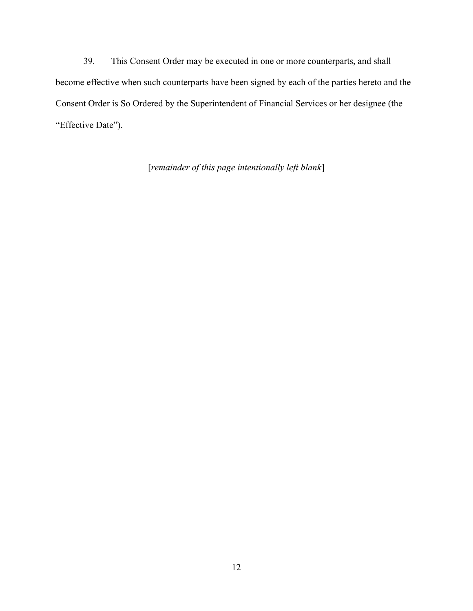39. This Consent Order may be executed in one or more counterparts, and shall become effective when such counterparts have been signed by each of the parties hereto and the Consent Order is So Ordered by the Superintendent of Financial Services or her designee (the "Effective Date").

[remainder of this page intentionally left blank]